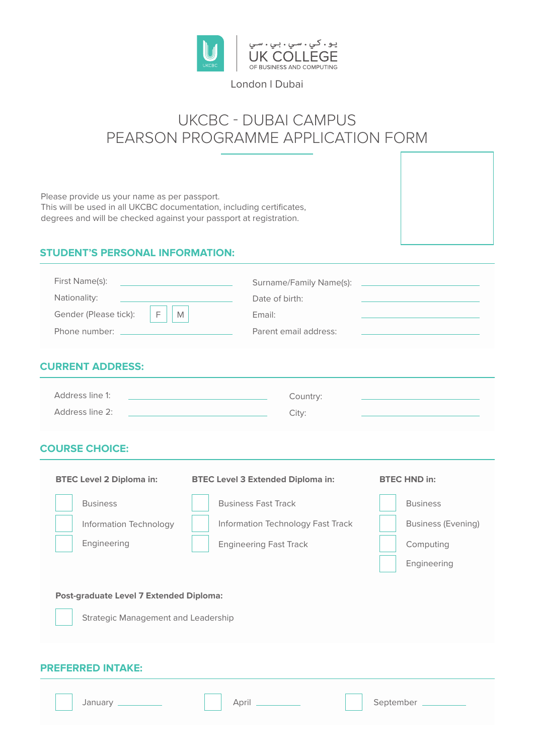

# London l Dubai

# UKCBC - DUBAI CAMPUS PEARSON PROGRAMME APPLICATION FORM

Please provide us your name as per passport. This will be used in all UKCBC documentation, including certificates, degrees and will be checked against your passport at registration.

# **STUDENT'S PERSONAL INFORMATION:**

| First Name(s):<br>the contract of the contract of the contract of |                       |
|-------------------------------------------------------------------|-----------------------|
| Nationality:<br><u> 1989 - Johann John Stone, markin san</u>      | Date of birth:        |
| Gender (Please tick):<br>M<br>F.                                  | Email:                |
|                                                                   | Parent email address: |

### **CURRENT ADDRESS:**

| Address line 1: | Country: |
|-----------------|----------|
| Address line 2: | City:    |

### **COURSE CHOICE:**

| <b>BTEC Level 2 Diploma in:</b>                                                       | <b>BTEC Level 3 Extended Diploma in:</b> | <b>BTEC HND in:</b>       |  |
|---------------------------------------------------------------------------------------|------------------------------------------|---------------------------|--|
| <b>Business</b>                                                                       | <b>Business Fast Track</b>               | <b>Business</b>           |  |
| Information Technology                                                                | Information Technology Fast Track        | <b>Business (Evening)</b> |  |
| Engineering                                                                           | <b>Engineering Fast Track</b>            | Computing                 |  |
|                                                                                       |                                          | Engineering               |  |
| <b>Post-graduate Level 7 Extended Diploma:</b><br>Strategic Management and Leadership |                                          |                           |  |
| <b>PREFERRED INTAKE:</b>                                                              |                                          |                           |  |
| January _                                                                             | April                                    | September _               |  |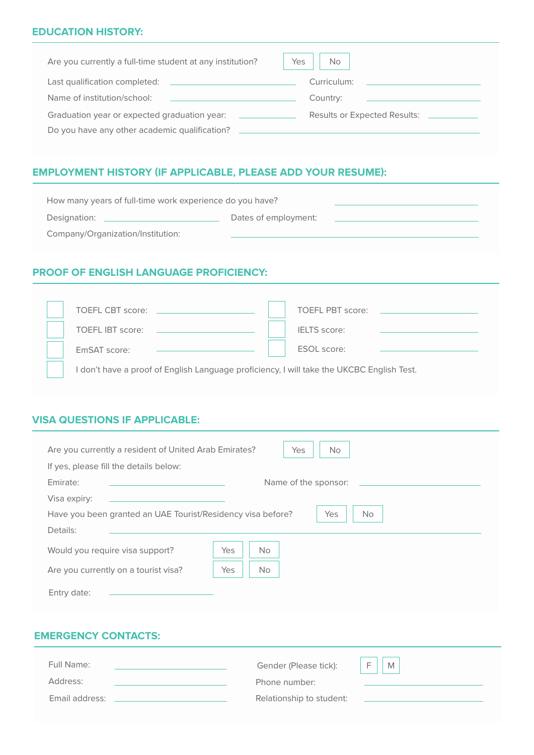## **EDUCATION HISTORY:**

| Are you currently a full-time student at any institution?                                                                                              | Yes<br>No                                                  |
|--------------------------------------------------------------------------------------------------------------------------------------------------------|------------------------------------------------------------|
| Last qualification completed:<br><u> 1989 - Andrea State Barbara, amerikan personal di sebagai personal di sebagai personal di sebagai personal di</u> | Curriculum:<br>the company's company's company's company's |
| Name of institution/school:                                                                                                                            | Country:                                                   |
| Graduation year or expected graduation year:                                                                                                           | Results or Expected Results: ___________                   |
| Do you have any other academic qualification?                                                                                                          |                                                            |

# **EMPLOYMENT HISTORY (IF APPLICABLE, PLEASE ADD YOUR RESUME):**

| How many years of full-time work experience do you have? |                      |  |
|----------------------------------------------------------|----------------------|--|
| Designation:                                             | Dates of employment: |  |
| Company/Organization/Institution:                        |                      |  |

# **PROOF OF ENGLISH LANGUAGE PROFICIENCY:**

| <b>TOEFL CBT score:</b>                                                                   | TOFFL PBT score:    |  |  |
|-------------------------------------------------------------------------------------------|---------------------|--|--|
| <b>TOEFL IBT score:</b>                                                                   | <b>IELTS</b> score: |  |  |
| EmSAT score:                                                                              | ESOL score:         |  |  |
| I don't have a proof of English Language proficiency, I will take the UKCBC English Test. |                     |  |  |

# **VISA QUESTIONS IF APPLICABLE:**

| Are you currently a resident of United Arab Emirates?<br>Yes<br>No.             |  |  |  |
|---------------------------------------------------------------------------------|--|--|--|
| If yes, please fill the details below:                                          |  |  |  |
| Emirate:<br>Name of the sponsor:                                                |  |  |  |
| Visa expiry:                                                                    |  |  |  |
| Have you been granted an UAE Tourist/Residency visa before?<br>Yes<br><b>No</b> |  |  |  |
| Details:                                                                        |  |  |  |
| Yes<br><b>No</b><br>Would you require visa support?                             |  |  |  |
| Yes<br><b>No</b><br>Are you currently on a tourist visa?                        |  |  |  |
| Entry date:                                                                     |  |  |  |

# **EMERGENCY CONTACTS:**

| Full Name:     | Gender (Please tick):    | M<br>E |
|----------------|--------------------------|--------|
| Address:       | Phone number:            |        |
| Email address: | Relationship to student: |        |